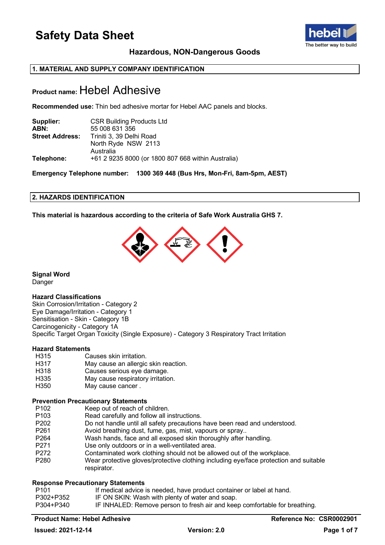

### **Hazardous, NON-Dangerous Goods**

### **1. MATERIAL AND SUPPLY COMPANY IDENTIFICATION**

### **Product name:** Hebel Adhesive

**Recommended use:** Thin bed adhesive mortar for Hebel AAC panels and blocks.

| Supplier:              | <b>CSR Building Products Ltd</b>                   |
|------------------------|----------------------------------------------------|
| ABN:                   | 55 008 631 356                                     |
| <b>Street Address:</b> | Triniti 3, 39 Delhi Road                           |
|                        | North Ryde NSW 2113                                |
|                        | Australia                                          |
| Telephone:             | +61 2 9235 8000 (or 1800 807 668 within Australia) |

**Emergency Telephone number: 1300 369 448 (Bus Hrs, Mon-Fri, 8am-5pm, AEST)**

### **2. HAZARDS IDENTIFICATION**

**This material is hazardous according to the criteria of Safe Work Australia GHS 7.**



**Signal Word** Danger

### **Hazard Classifications**

Skin Corrosion/Irritation - Category 2 Eye Damage/Irritation - Category 1 Sensitisation - Skin - Category 1B Carcinogenicity - Category 1A Specific Target Organ Toxicity (Single Exposure) - Category 3 Respiratory Tract Irritation

## **Hazard Statements**

- H315 Causes skin irritation.<br>H317 May cause an allergic
- H317 May cause an allergic skin reaction.<br>H318 Causes serious eve damage.
- H318 Causes serious eye damage.<br>H335 May cause respiratory irritation
- H335 May cause respiratory irritation.<br>H350 May cause cancer .
- May cause cancer .

## **Prevention Precautionary Statements**

- P102 Keep out of reach of children.<br>P103 Read carefully and follow all in
- Read carefully and follow all instructions.
- P202 Do not handle until all safety precautions have been read and understood.<br>P261 Avoid breathing dust. fume. gas. mist. vapours or sprav..
- Avoid breathing dust, fume, gas, mist, vapours or spray..
- P264 Wash hands, face and all exposed skin thoroughly after handling.
- P271 Use only outdoors or in a well-ventilated area.<br>P272 Contaminated work clothing should not be allo
- P272 Contaminated work clothing should not be allowed out of the workplace.<br>P280 Wear protective gloves/protective clothing including eve/face protection a
- Wear protective gloves/protective clothing including eye/face protection and suitable respirator.

### **Response Precautionary Statements**

| P <sub>101</sub> | If medical advice is needed, have product container or label at hand.      |
|------------------|----------------------------------------------------------------------------|
| P302+P352        | IF ON SKIN: Wash with plenty of water and soap.                            |
| P304+P340        | IF INHALED: Remove person to fresh air and keep comfortable for breathing. |

### **Product Name: Hebel Adhesive Reference No: CSR0002901**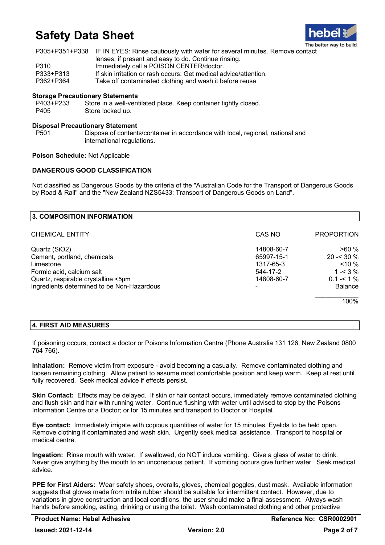

|           | P305+P351+P338 IF IN EYES: Rinse cautiously with water for several minutes. Remove contact |
|-----------|--------------------------------------------------------------------------------------------|
|           | lenses, if present and easy to do. Continue rinsing.                                       |
| P310      | Immediately call a POISON CENTER/doctor.                                                   |
| P333+P313 | If skin irritation or rash occurs: Get medical advice/attention.                           |
| P362+P364 | Take off contaminated clothing and wash it before reuse                                    |

### **Storage Precautionary Statements**

P403+P233 Store in a well-ventilated place. Keep container tightly closed. P405 Store locked up.

### **Disposal Precautionary Statement**

Dispose of contents/container in accordance with local, regional, national and international regulations.

### **Poison Schedule:** Not Applicable

### **DANGEROUS GOOD CLASSIFICATION**

Not classified as Dangerous Goods by the criteria of the "Australian Code for the Transport of Dangerous Goods by Road & Rail" and the "New Zealand NZS5433: Transport of Dangerous Goods on Land".

| <b>3. COMPOSITION INFORMATION</b>          |            |                   |
|--------------------------------------------|------------|-------------------|
| <b>CHEMICAL ENTITY</b>                     | CAS NO     | <b>PROPORTION</b> |
| Quartz (SiO2)                              | 14808-60-7 | >60%              |
| Cement, portland, chemicals                | 65997-15-1 | $20 - 30 \%$      |
| Limestone                                  | 1317-65-3  | $~10\%$           |
| Formic acid, calcium salt                  | 544-17-2   | $1 - 3\%$         |
| Quartz, respirable crystalline <5µm        | 14808-60-7 | $0.1 - 1\%$       |
| Ingredients determined to be Non-Hazardous |            | <b>Balance</b>    |
|                                            |            | 100%              |

### **4. FIRST AID MEASURES**

If poisoning occurs, contact a doctor or Poisons Information Centre (Phone Australia 131 126, New Zealand 0800 764 766).

**Inhalation:** Remove victim from exposure - avoid becoming a casualty. Remove contaminated clothing and loosen remaining clothing. Allow patient to assume most comfortable position and keep warm. Keep at rest until fully recovered. Seek medical advice if effects persist.

**Skin Contact:** Effects may be delayed. If skin or hair contact occurs, immediately remove contaminated clothing and flush skin and hair with running water. Continue flushing with water until advised to stop by the Poisons Information Centre or a Doctor; or for 15 minutes and transport to Doctor or Hospital.

**Eye contact:** Immediately irrigate with copious quantities of water for 15 minutes. Eyelids to be held open. Remove clothing if contaminated and wash skin. Urgently seek medical assistance. Transport to hospital or medical centre.

**Ingestion:** Rinse mouth with water. If swallowed, do NOT induce vomiting. Give a glass of water to drink. Never give anything by the mouth to an unconscious patient. If vomiting occurs give further water. Seek medical advice.

**PPE for First Aiders:** Wear safety shoes, overalls, gloves, chemical goggles, dust mask. Available information suggests that gloves made from nitrile rubber should be suitable for intermittent contact. However, due to variations in glove construction and local conditions, the user should make a final assessment. Always wash hands before smoking, eating, drinking or using the toilet. Wash contaminated clothing and other protective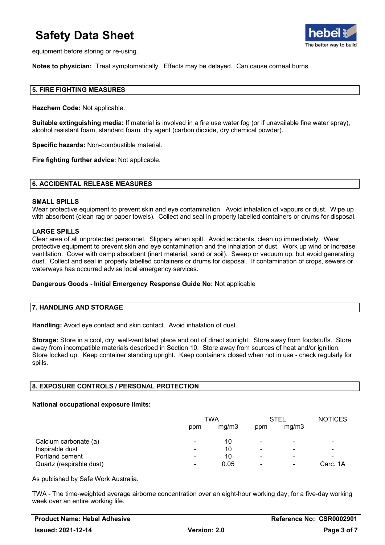

equipment before storing or re-using.

**Notes to physician:** Treat symptomatically. Effects may be delayed. Can cause corneal burns.

### **5. FIRE FIGHTING MEASURES**

**Hazchem Code:** Not applicable.

**Suitable extinguishing media:** If material is involved in a fire use water fog (or if unavailable fine water spray), alcohol resistant foam, standard foam, dry agent (carbon dioxide, dry chemical powder).

**Specific hazards:** Non-combustible material.

**Fire fighting further advice:** Not applicable.

#### **6. ACCIDENTAL RELEASE MEASURES**

#### **SMALL SPILLS**

Wear protective equipment to prevent skin and eye contamination. Avoid inhalation of vapours or dust. Wipe up with absorbent (clean rag or paper towels). Collect and seal in properly labelled containers or drums for disposal.

#### **LARGE SPILLS**

Clear area of all unprotected personnel. Slippery when spilt. Avoid accidents, clean up immediately. Wear protective equipment to prevent skin and eye contamination and the inhalation of dust. Work up wind or increase ventilation. Cover with damp absorbent (inert material, sand or soil). Sweep or vacuum up, but avoid generating dust. Collect and seal in properly labelled containers or drums for disposal. If contamination of crops, sewers or waterways has occurred advise local emergency services.

### **Dangerous Goods - Initial Emergency Response Guide No:** Not applicable

### **7. HANDLING AND STORAGE**

**Handling:** Avoid eye contact and skin contact. Avoid inhalation of dust.

**Storage:** Store in a cool, dry, well-ventilated place and out of direct sunlight. Store away from foodstuffs. Store away from incompatible materials described in Section 10. Store away from sources of heat and/or ignition. Store locked up. Keep container standing upright. Keep containers closed when not in use - check regularly for spills.

### **8. EXPOSURE CONTROLS / PERSONAL PROTECTION**

### **National occupational exposure limits:**

|                          | TWA            |       | STEL                     |                          | <b>NOTICES</b>           |
|--------------------------|----------------|-------|--------------------------|--------------------------|--------------------------|
|                          | ppm            | mg/m3 | ppm                      | mg/m3                    |                          |
| Calcium carbonate (a)    | -              | 10    | $\overline{\phantom{0}}$ | $\blacksquare$           |                          |
| Inspirable dust          | ۰              | 10    | ۰                        | -                        |                          |
| Portland cement          | ۰              | 10    | -                        | ۰                        | $\overline{\phantom{a}}$ |
| Quartz (respirable dust) | $\blacksquare$ | 0.05  |                          | $\overline{\phantom{a}}$ | Carc. 1A                 |

As published by Safe Work Australia.

TWA - The time-weighted average airborne concentration over an eight-hour working day, for a five-day working week over an entire working life.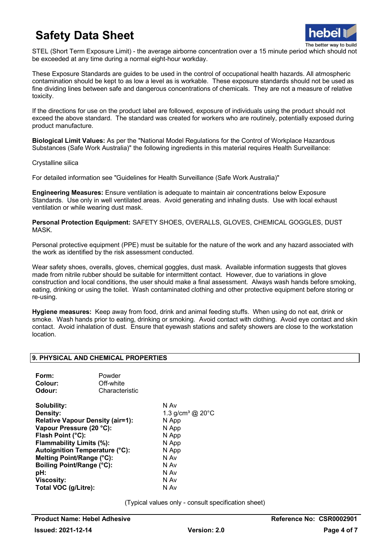

STEL (Short Term Exposure Limit) - the average airborne concentration over a 15 minute period which should not be exceeded at any time during a normal eight-hour workday.

These Exposure Standards are guides to be used in the control of occupational health hazards. All atmospheric contamination should be kept to as low a level as is workable. These exposure standards should not be used as fine dividing lines between safe and dangerous concentrations of chemicals. They are not a measure of relative toxicity.

If the directions for use on the product label are followed, exposure of individuals using the product should not exceed the above standard. The standard was created for workers who are routinely, potentially exposed during product manufacture.

**Biological Limit Values:** As per the "National Model Regulations for the Control of Workplace Hazardous Substances (Safe Work Australia)" the following ingredients in this material requires Health Surveillance:

Crystalline silica

For detailed information see "Guidelines for Health Surveillance (Safe Work Australia)"

**Engineering Measures:** Ensure ventilation is adequate to maintain air concentrations below Exposure Standards. Use only in well ventilated areas. Avoid generating and inhaling dusts. Use with local exhaust ventilation or while wearing dust mask.

**Personal Protection Equipment:** SAFETY SHOES, OVERALLS, GLOVES, CHEMICAL GOGGLES, DUST MASK.

Personal protective equipment (PPE) must be suitable for the nature of the work and any hazard associated with the work as identified by the risk assessment conducted.

Wear safety shoes, overalls, gloves, chemical goggles, dust mask. Available information suggests that gloves made from nitrile rubber should be suitable for intermittent contact. However, due to variations in glove construction and local conditions, the user should make a final assessment. Always wash hands before smoking, eating, drinking or using the toilet. Wash contaminated clothing and other protective equipment before storing or re-using.

**Hygiene measures:** Keep away from food, drink and animal feeding stuffs. When using do not eat, drink or smoke. Wash hands prior to eating, drinking or smoking. Avoid contact with clothing. Avoid eye contact and skin contact. Avoid inhalation of dust. Ensure that eyewash stations and safety showers are close to the workstation location.

### **9. PHYSICAL AND CHEMICAL PROPERTIES**

| Form:   | Powder         |
|---------|----------------|
| Colour: | Off-white      |
| Odour:  | Characteristic |

**Solubility:** N Av **Relative Vapour Density (air=1):** N App **Vapour Pressure (20 °C):** N App **Flash Point (°C):** N App **Flammability Limits (%):** N App **Autoignition Temperature (°C):** N App **Melting Point/Range (°C):** N Av **Boiling Point/Range (°C): pH:** N Av **Viscosity:** N Av **Total VOC (g/Litre):** 

1.3 g/cm<sup>3</sup> @ 20°C

(Typical values only - consult specification sheet)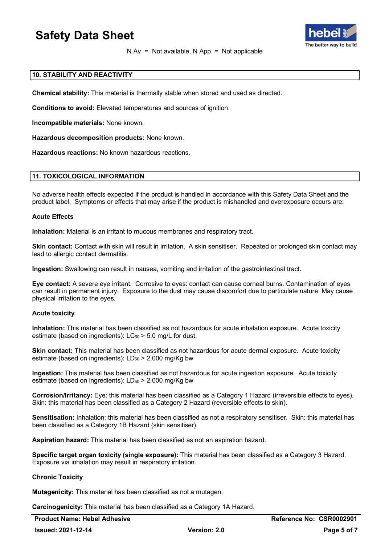

 $N Av = Not available, N App = Not applicable$ 

### **10. STABILITY AND REACTIVITY**

**Chemical stability:** This material is thermally stable when stored and used as directed.

**Conditions to avoid:** Elevated temperatures and sources of ignition.

**Incompatible materials:** None known.

**Hazardous decomposition products:** None known.

**Hazardous reactions:** No known hazardous reactions.

### **11. TOXICOLOGICAL INFORMATION**

No adverse health effects expected if the product is handled in accordance with this Safety Data Sheet and the product label. Symptoms or effects that may arise if the product is mishandled and overexposure occurs are:

### **Acute Effects**

**Inhalation:** Material is an irritant to mucous membranes and respiratory tract.

**Skin contact:** Contact with skin will result in irritation. A skin sensitiser. Repeated or prolonged skin contact may lead to allergic contact dermatitis.

**Ingestion:** Swallowing can result in nausea, vomiting and irritation of the gastrointestinal tract.

**Eye contact:** A severe eye irritant. Corrosive to eyes: contact can cause corneal burns. Contamination of eyes can result in permanent injury. Exposure to the dust may cause discomfort due to particulate nature. May cause physical irritation to the eyes.

### **Acute toxicity**

**Inhalation:** This material has been classified as not hazardous for acute inhalation exposure. Acute toxicity estimate (based on ingredients):  $LC_{50}$  > 5.0 mg/L for dust.

**Skin contact:** This material has been classified as not hazardous for acute dermal exposure. Acute toxicity estimate (based on ingredients):  $LD_{50}$  > 2,000 mg/Kg bw

**Ingestion:** This material has been classified as not hazardous for acute ingestion exposure. Acute toxicity estimate (based on ingredients):  $LD_{50}$  > 2,000 mg/Kg bw

**Corrosion/Irritancy:** Eye: this material has been classified as a Category 1 Hazard (irreversible effects to eyes). Skin: this material has been classified as a Category 2 Hazard (reversible effects to skin).

**Sensitisation:** Inhalation: this material has been classified as not a respiratory sensitiser. Skin: this material has been classified as a Category 1B Hazard (skin sensitiser).

**Aspiration hazard:** This material has been classified as not an aspiration hazard.

**Specific target organ toxicity (single exposure):** This material has been classified as a Category 3 Hazard. Exposure via inhalation may result in respiratory irritation.

### **Chronic Toxicity**

**Mutagenicity:** This material has been classified as not a mutagen.

**Carcinogenicity:** This material has been classified as a Category 1A Hazard.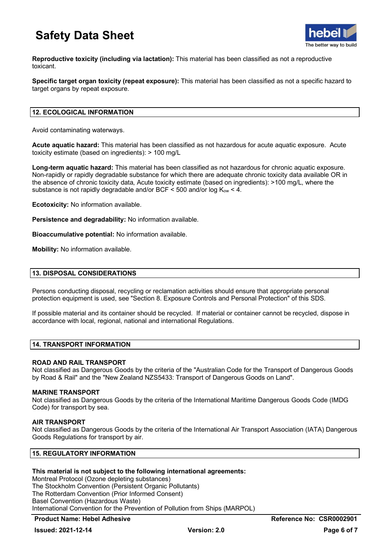

**Reproductive toxicity (including via lactation):** This material has been classified as not a reproductive toxicant.

**Specific target organ toxicity (repeat exposure):** This material has been classified as not a specific hazard to target organs by repeat exposure.

### **12. ECOLOGICAL INFORMATION**

Avoid contaminating waterways.

**Acute aquatic hazard:** This material has been classified as not hazardous for acute aquatic exposure. Acute toxicity estimate (based on ingredients): > 100 mg/L

**Long-term aquatic hazard:** This material has been classified as not hazardous for chronic aquatic exposure. Non-rapidly or rapidly degradable substance for which there are adequate chronic toxicity data available OR in the absence of chronic toxicity data, Acute toxicity estimate (based on ingredients): >100 mg/L, where the substance is not rapidly degradable and/or BCF  $\leq$  500 and/or log K<sub>ow</sub>  $\lt$  4.

**Ecotoxicity:** No information available.

**Persistence and degradability:** No information available.

**Bioaccumulative potential:** No information available.

**Mobility:** No information available.

### **13. DISPOSAL CONSIDERATIONS**

Persons conducting disposal, recycling or reclamation activities should ensure that appropriate personal protection equipment is used, see "Section 8. Exposure Controls and Personal Protection" of this SDS.

If possible material and its container should be recycled. If material or container cannot be recycled, dispose in accordance with local, regional, national and international Regulations.

### **14. TRANSPORT INFORMATION**

### **ROAD AND RAIL TRANSPORT**

Not classified as Dangerous Goods by the criteria of the "Australian Code for the Transport of Dangerous Goods by Road & Rail" and the "New Zealand NZS5433: Transport of Dangerous Goods on Land".

### **MARINE TRANSPORT**

Not classified as Dangerous Goods by the criteria of the International Maritime Dangerous Goods Code (IMDG Code) for transport by sea.

### **AIR TRANSPORT**

Not classified as Dangerous Goods by the criteria of the International Air Transport Association (IATA) Dangerous Goods Regulations for transport by air.

### **15. REGULATORY INFORMATION**

### **This material is not subject to the following international agreements:**

Montreal Protocol (Ozone depleting substances) The Stockholm Convention (Persistent Organic Pollutants) The Rotterdam Convention (Prior Informed Consent) Basel Convention (Hazardous Waste) International Convention for the Prevention of Pollution from Ships (MARPOL)

### **Product Name: Hebel Adhesive Reference No: CSR0002901**